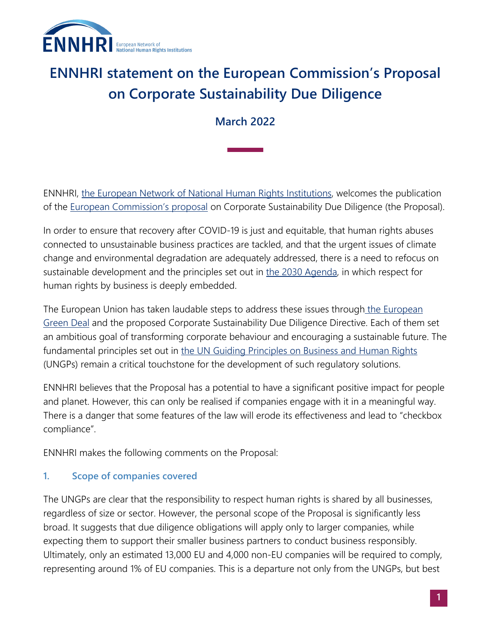

# **ENNHRI statement on the European Commission's Proposal on Corporate Sustainability Due Diligence**

# **March 2022**

ENNHRI, [the European Network of National Human Rights Institutions,](https://ennhri.org/) welcomes the publication of the **European Commission's proposal** on Corporate Sustainability Due Diligence (the Proposal).

In order to ensure that recovery after COVID-19 is just and equitable, that human rights abuses connected to unsustainable business practices are tackled, and that the urgent issues of climate change and environmental degradation are adequately addressed, there is a need to refocus on sustainable development and the principles set out in [the 2030 Agenda,](https://sdgs.un.org/2030agenda) in which respect for human rights by business is deeply embedded.

The European Union has taken laudable steps to address these issues through the European [Green Deal](https://ec.europa.eu/info/strategy/priorities-2019-2024/european-green-deal_en) and the proposed Corporate Sustainability Due Diligence Directive. Each of them set an ambitious goal of transforming corporate behaviour and encouraging a sustainable future. The fundamental principles set out in [the UN Guiding Principles on Business and Human Rights](https://www.ohchr.org/sites/default/files/Documents/Publications/GuidingPrinciplesBusinessHR_EN.pdf) (UNGPs) remain a critical touchstone for the development of such regulatory solutions.

ENNHRI believes that the Proposal has a potential to have a significant positive impact for people and planet. However, this can only be realised if companies engage with it in a meaningful way. There is a danger that some features of the law will erode its effectiveness and lead to "checkbox compliance".

ENNHRI makes the following comments on the Proposal:

## **1. Scope of companies covered**

The UNGPs are clear that the responsibility to respect human rights is shared by all businesses, regardless of size or sector. However, the personal scope of the Proposal is significantly less broad. It suggests that due diligence obligations will apply only to larger companies, while expecting them to support their smaller business partners to conduct business responsibly. Ultimately, only an estimated 13,000 EU and 4,000 non-EU companies will be required to comply, representing around 1% of EU companies. This is a departure not only from the UNGPs, but best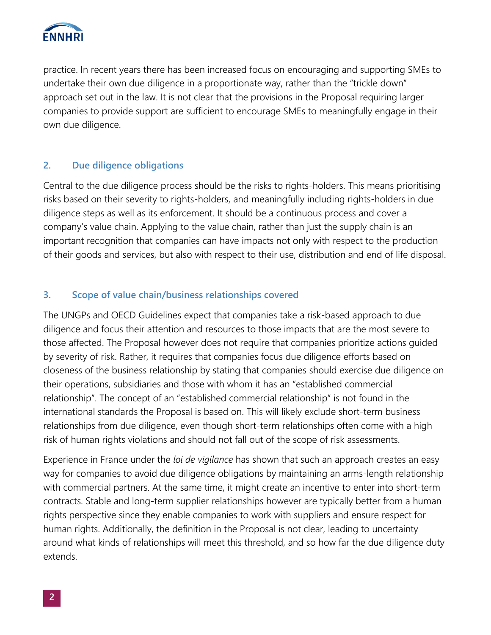

practice. In recent years there has been increased focus on encouraging and supporting SMEs to undertake their own due diligence in a proportionate way, rather than the "trickle down" approach set out in the law. It is not clear that the provisions in the Proposal requiring larger companies to provide support are sufficient to encourage SMEs to meaningfully engage in their own due diligence.

### **2. Due diligence obligations**

Central to the due diligence process should be the risks to rights-holders. This means prioritising risks based on their severity to rights-holders, and meaningfully including rights-holders in due diligence steps as well as its enforcement. It should be a continuous process and cover a company's value chain. Applying to the value chain, rather than just the supply chain is an important recognition that companies can have impacts not only with respect to the production of their goods and services, but also with respect to their use, distribution and end of life disposal.

#### **3. Scope of value chain/business relationships covered**

The UNGPs and OECD Guidelines expect that companies take a risk-based approach to due diligence and focus their attention and resources to those impacts that are the most severe to those affected. The Proposal however does not require that companies prioritize actions guided by severity of risk. Rather, it requires that companies focus due diligence efforts based on closeness of the business relationship by stating that companies should exercise due diligence on their operations, subsidiaries and those with whom it has an "established commercial relationship". The concept of an "established commercial relationship" is not found in the international standards the Proposal is based on. This will likely exclude short-term business relationships from due diligence, even though short-term relationships often come with a high risk of human rights violations and should not fall out of the scope of risk assessments.

Experience in France under the *loi de vigilance* has shown that such an approach creates an easy way for companies to avoid due diligence obligations by maintaining an arms-length relationship with commercial partners. At the same time, it might create an incentive to enter into short-term contracts. Stable and long-term supplier relationships however are typically better from a human rights perspective since they enable companies to work with suppliers and ensure respect for human rights. Additionally, the definition in the Proposal is not clear, leading to uncertainty around what kinds of relationships will meet this threshold, and so how far the due diligence duty extends.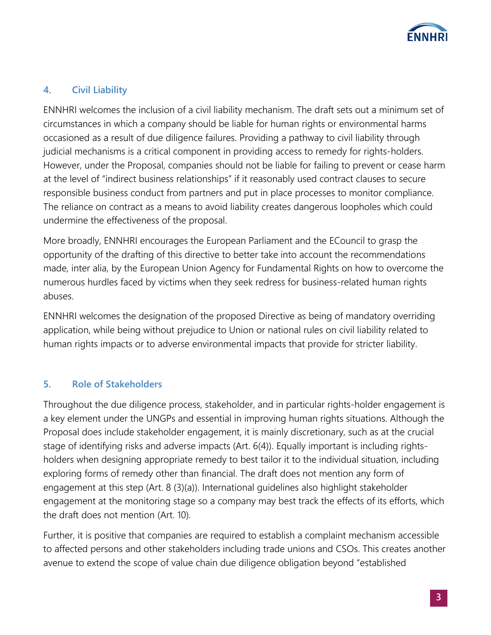

# **4. Civil Liability**

ENNHRI welcomes the inclusion of a civil liability mechanism. The draft sets out a minimum set of circumstances in which a company should be liable for human rights or environmental harms occasioned as a result of due diligence failures. Providing a pathway to civil liability through judicial mechanisms is a critical component in providing access to remedy for rights-holders. However, under the Proposal, companies should not be liable for failing to prevent or cease harm at the level of "indirect business relationships" if it reasonably used contract clauses to secure responsible business conduct from partners and put in place processes to monitor compliance. The reliance on contract as a means to avoid liability creates dangerous loopholes which could undermine the effectiveness of the proposal.

More broadly, ENNHRI encourages the European Parliament and the ECouncil to grasp the opportunity of the drafting of this directive to better take into account the recommendations made, inter alia, by the European Union Agency for Fundamental Rights on how to overcome the numerous hurdles faced by victims when they seek redress for business-related human rights abuses.

ENNHRI welcomes the designation of the proposed Directive as being of mandatory overriding application, while being without prejudice to Union or national rules on civil liability related to human rights impacts or to adverse environmental impacts that provide for stricter liability.

#### **5. Role of Stakeholders**

Throughout the due diligence process, stakeholder, and in particular rights-holder engagement is a key element under the UNGPs and essential in improving human rights situations. Although the Proposal does include stakeholder engagement, it is mainly discretionary, such as at the crucial stage of identifying risks and adverse impacts (Art. 6(4)). Equally important is including rightsholders when designing appropriate remedy to best tailor it to the individual situation, including exploring forms of remedy other than financial. The draft does not mention any form of engagement at this step (Art. 8 (3)(a)). International guidelines also highlight stakeholder engagement at the monitoring stage so a company may best track the effects of its efforts, which the draft does not mention (Art. 10).

Further, it is positive that companies are required to establish a complaint mechanism accessible to affected persons and other stakeholders including trade unions and CSOs. This creates another avenue to extend the scope of value chain due diligence obligation beyond "established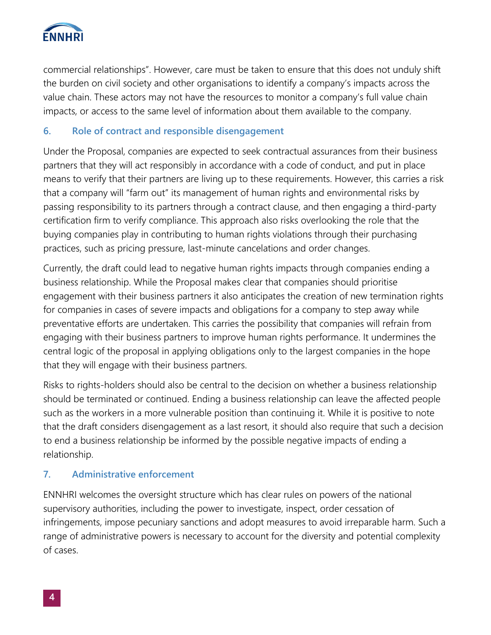

commercial relationships". However, care must be taken to ensure that this does not unduly shift the burden on civil society and other organisations to identify a company's impacts across the value chain. These actors may not have the resources to monitor a company's full value chain impacts, or access to the same level of information about them available to the company.

## **6. Role of contract and responsible disengagement**

Under the Proposal, companies are expected to seek contractual assurances from their business partners that they will act responsibly in accordance with a code of conduct, and put in place means to verify that their partners are living up to these requirements. However, this carries a risk that a company will "farm out" its management of human rights and environmental risks by passing responsibility to its partners through a contract clause, and then engaging a third-party certification firm to verify compliance. This approach also risks overlooking the role that the buying companies play in contributing to human rights violations through their purchasing practices, such as pricing pressure, last-minute cancelations and order changes.

Currently, the draft could lead to negative human rights impacts through companies ending a business relationship. While the Proposal makes clear that companies should prioritise engagement with their business partners it also anticipates the creation of new termination rights for companies in cases of severe impacts and obligations for a company to step away while preventative efforts are undertaken. This carries the possibility that companies will refrain from engaging with their business partners to improve human rights performance. It undermines the central logic of the proposal in applying obligations only to the largest companies in the hope that they will engage with their business partners.

Risks to rights-holders should also be central to the decision on whether a business relationship should be terminated or continued. Ending a business relationship can leave the affected people such as the workers in a more vulnerable position than continuing it. While it is positive to note that the draft considers disengagement as a last resort, it should also require that such a decision to end a business relationship be informed by the possible negative impacts of ending a relationship.

#### **7. Administrative enforcement**

ENNHRI welcomes the oversight structure which has clear rules on powers of the national supervisory authorities, including the power to investigate, inspect, order cessation of infringements, impose pecuniary sanctions and adopt measures to avoid irreparable harm. Such a range of administrative powers is necessary to account for the diversity and potential complexity of cases.